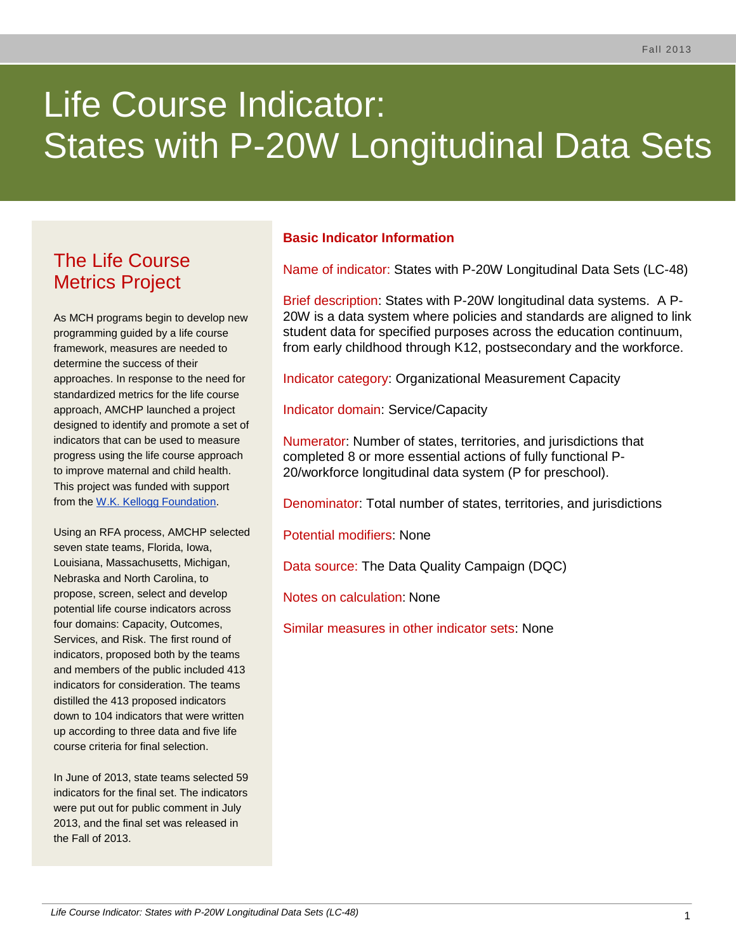# Life Course Indicator: States with P-20W Longitudinal Data Sets

# The Life Course Metrics Project

As MCH programs begin to develop new programming guided by a life course framework, measures are needed to determine the success of their approaches. In response to the need for standardized metrics for the life course approach, AMCHP launched a project designed to identify and promote a set of indicators that can be used to measure progress using the life course approach to improve maternal and child health. This project was funded with support from the [W.K. Kellogg Foundation.](http://www.wkkf.org/)

Using an RFA process, AMCHP selected seven state teams, Florida, Iowa, Louisiana, Massachusetts, Michigan, Nebraska and North Carolina, to propose, screen, select and develop potential life course indicators across four domains: Capacity, Outcomes, Services, and Risk. The first round of indicators, proposed both by the teams and members of the public included 413 indicators for consideration. The teams distilled the 413 proposed indicators down to 104 indicators that were written up according to three data and five life course criteria for final selection.

In June of 2013, state teams selected 59 indicators for the final set. The indicators were put out for public comment in July 2013, and the final set was released in the Fall of 2013.

# **Basic Indicator Information**

Name of indicator: States with P-20W Longitudinal Data Sets (LC-48)

Brief description: States with P-20W longitudinal data systems. A P-20W is a data system where policies and standards are aligned to link student data for specified purposes across the education continuum, from early childhood through K12, postsecondary and the workforce.

Indicator category: Organizational Measurement Capacity

Indicator domain: Service/Capacity

Numerator: Number of states, territories, and jurisdictions that completed 8 or more essential actions of fully functional P-20/workforce longitudinal data system (P for preschool).

Denominator: Total number of states, territories, and jurisdictions

Potential modifiers: None

Data source: The Data Quality Campaign (DQC)

Notes on calculation: None

Similar measures in other indicator sets: None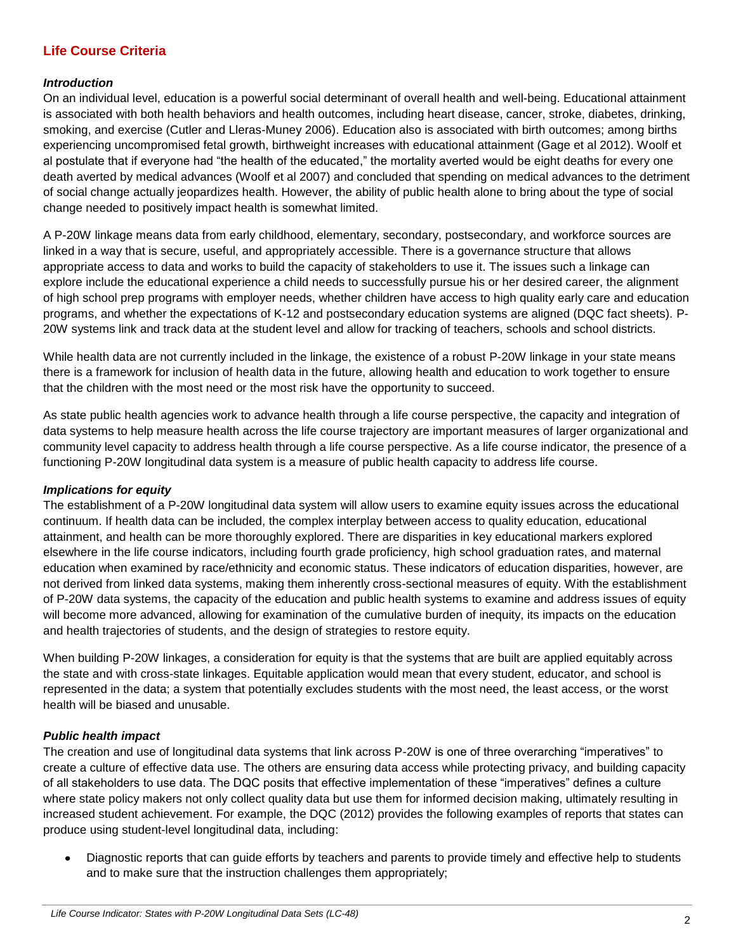### **Life Course Criteria**

#### *Introduction*

On an individual level, education is a powerful social determinant of overall health and well-being. Educational attainment is associated with both health behaviors and health outcomes, including heart disease, cancer, stroke, diabetes, drinking, smoking, and exercise (Cutler and Lleras-Muney 2006). Education also is associated with birth outcomes; among births experiencing uncompromised fetal growth, birthweight increases with educational attainment (Gage et al 2012). Woolf et al postulate that if everyone had "the health of the educated," the mortality averted would be eight deaths for every one death averted by medical advances (Woolf et al 2007) and concluded that spending on medical advances to the detriment of social change actually jeopardizes health. However, the ability of public health alone to bring about the type of social change needed to positively impact health is somewhat limited.

A P-20W linkage means data from early childhood, elementary, secondary, postsecondary, and workforce sources are linked in a way that is secure, useful, and appropriately accessible. There is a governance structure that allows appropriate access to data and works to build the capacity of stakeholders to use it. The issues such a linkage can explore include the educational experience a child needs to successfully pursue his or her desired career, the alignment of high school prep programs with employer needs, whether children have access to high quality early care and education programs, and whether the expectations of K-12 and postsecondary education systems are aligned (DQC fact sheets). P-20W systems link and track data at the student level and allow for tracking of teachers, schools and school districts.

While health data are not currently included in the linkage, the existence of a robust P-20W linkage in your state means there is a framework for inclusion of health data in the future, allowing health and education to work together to ensure that the children with the most need or the most risk have the opportunity to succeed.

As state public health agencies work to advance health through a life course perspective, the capacity and integration of data systems to help measure health across the life course trajectory are important measures of larger organizational and community level capacity to address health through a life course perspective. As a life course indicator, the presence of a functioning P-20W longitudinal data system is a measure of public health capacity to address life course.

#### *Implications for equity*

The establishment of a P-20W longitudinal data system will allow users to examine equity issues across the educational continuum. If health data can be included, the complex interplay between access to quality education, educational attainment, and health can be more thoroughly explored. There are disparities in key educational markers explored elsewhere in the life course indicators, including fourth grade proficiency, high school graduation rates, and maternal education when examined by race/ethnicity and economic status. These indicators of education disparities, however, are not derived from linked data systems, making them inherently cross-sectional measures of equity. With the establishment of P-20W data systems, the capacity of the education and public health systems to examine and address issues of equity will become more advanced, allowing for examination of the cumulative burden of inequity, its impacts on the education and health trajectories of students, and the design of strategies to restore equity.

When building P-20W linkages, a consideration for equity is that the systems that are built are applied equitably across the state and with cross-state linkages. Equitable application would mean that every student, educator, and school is represented in the data; a system that potentially excludes students with the most need, the least access, or the worst health will be biased and unusable.

#### *Public health impact*

The creation and use of longitudinal data systems that link across P-20W is one of three overarching "imperatives" to create a culture of effective data use. The others are ensuring data access while protecting privacy, and building capacity of all stakeholders to use data. The DQC posits that effective implementation of these "imperatives" defines a culture where state policy makers not only collect quality data but use them for informed decision making, ultimately resulting in increased student achievement. For example, the DQC (2012) provides the following examples of reports that states can produce using student-level longitudinal data, including:

Diagnostic reports that can guide efforts by teachers and parents to provide timely and effective help to students and to make sure that the instruction challenges them appropriately;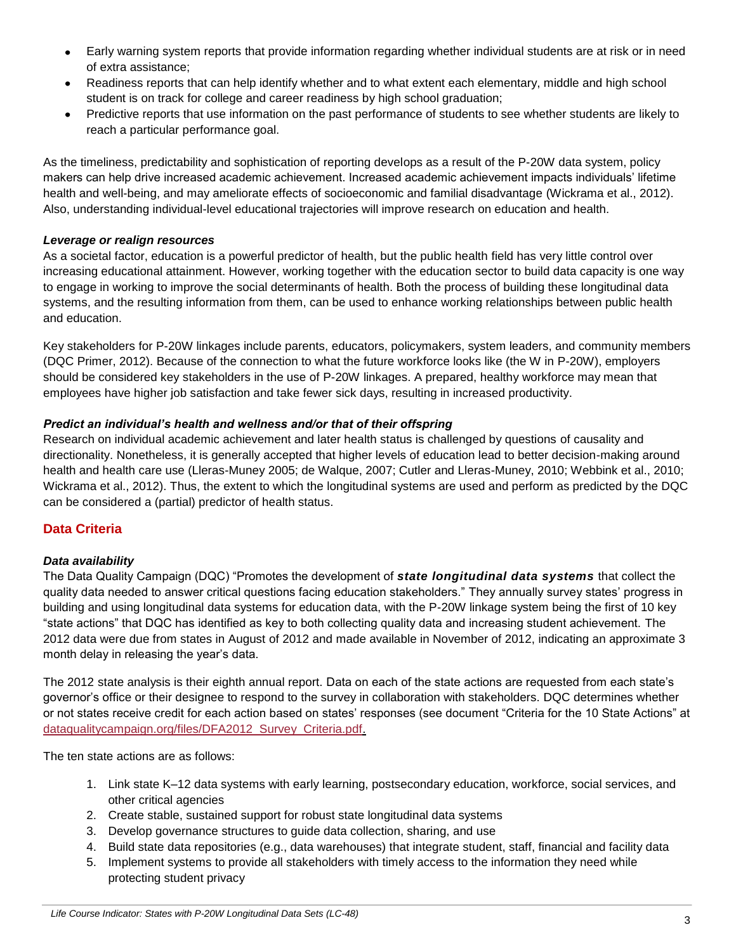- Early warning system reports that provide information regarding whether individual students are at risk or in need of extra assistance;
- Readiness reports that can help identify whether and to what extent each elementary, middle and high school student is on track for college and career readiness by high school graduation;
- Predictive reports that use information on the past performance of students to see whether students are likely to  $\bullet$ reach a particular performance goal.

As the timeliness, predictability and sophistication of reporting develops as a result of the P-20W data system, policy makers can help drive increased academic achievement. Increased academic achievement impacts individuals' lifetime health and well-being, and may ameliorate effects of socioeconomic and familial disadvantage (Wickrama et al., 2012). Also, understanding individual-level educational trajectories will improve research on education and health.

#### *Leverage or realign resources*

As a societal factor, education is a powerful predictor of health, but the public health field has very little control over increasing educational attainment. However, working together with the education sector to build data capacity is one way to engage in working to improve the social determinants of health. Both the process of building these longitudinal data systems, and the resulting information from them, can be used to enhance working relationships between public health and education.

Key stakeholders for P-20W linkages include parents, educators, policymakers, system leaders, and community members (DQC Primer, 2012). Because of the connection to what the future workforce looks like (the W in P-20W), employers should be considered key stakeholders in the use of P-20W linkages. A prepared, healthy workforce may mean that employees have higher job satisfaction and take fewer sick days, resulting in increased productivity.

#### *Predict an individual's health and wellness and/or that of their offspring*

Research on individual academic achievement and later health status is challenged by questions of causality and directionality. Nonetheless, it is generally accepted that higher levels of education lead to better decision-making around health and health care use (Lleras-Muney 2005; de Walque, 2007; Cutler and Lleras-Muney, 2010; Webbink et al., 2010; Wickrama et al., 2012). Thus, the extent to which the longitudinal systems are used and perform as predicted by the DQC can be considered a (partial) predictor of health status.

## **Data Criteria**

#### *Data availability*

The Data Quality Campaign (DQC) "Promotes the development of *state longitudinal data systems* that collect the quality data needed to answer critical questions facing education stakeholders." They annually survey states' progress in building and using longitudinal data systems for education data, with the P-20W linkage system being the first of 10 key "state actions" that DQC has identified as key to both collecting quality data and increasing student achievement. The 2012 data were due from states in August of 2012 and made available in November of 2012, indicating an approximate 3 month delay in releasing the year's data.

The 2012 state analysis is their eighth annual report. Data on each of the state actions are requested from each state's governor's office or their designee to respond to the survey in collaboration with stakeholders. DQC determines whether or not states receive credit for each action based on states' responses (see document "Criteria for the 10 State Actions" at [dataqualitycampaign.org/files/DFA2012\\_Survey\\_Criteria.pdf.](http://www.dataqualitycampaign.org/files/DFA2012_Survey_Criteria.pdf)

The ten state actions are as follows:

- 1. Link state K–12 data systems with early learning, postsecondary education, workforce, social services, and other critical agencies
- 2. Create stable, sustained support for robust state longitudinal data systems
- 3. Develop governance structures to guide data collection, sharing, and use
- 4. Build state data repositories (e.g., data warehouses) that integrate student, staff, financial and facility data
- 5. Implement systems to provide all stakeholders with timely access to the information they need while protecting student privacy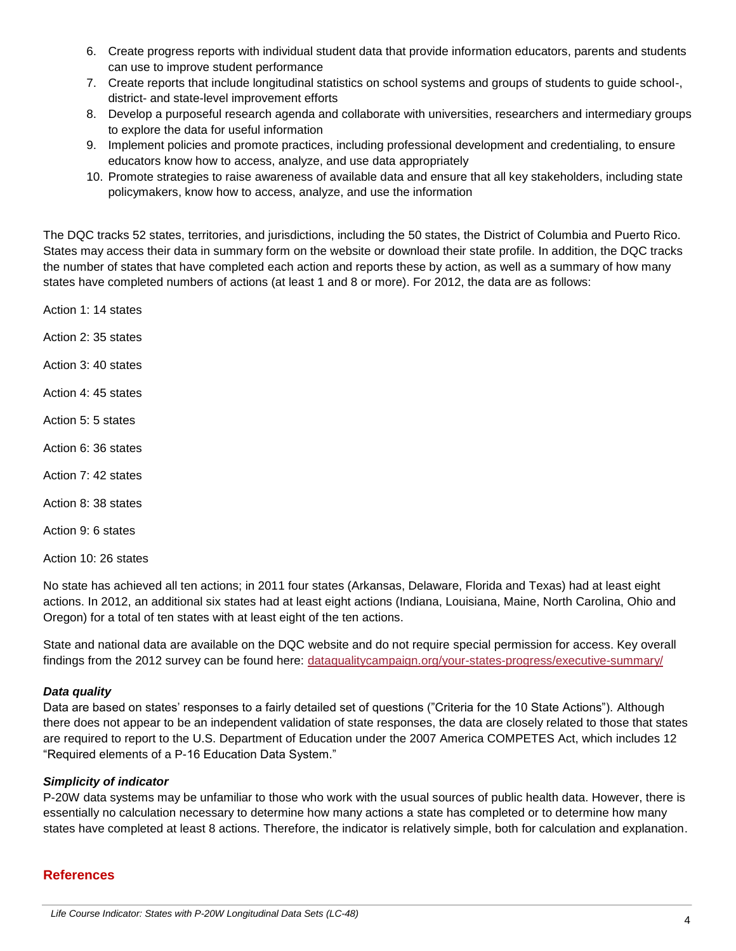- 6. Create progress reports with individual student data that provide information educators, parents and students can use to improve student performance
- 7. Create reports that include longitudinal statistics on school systems and groups of students to guide school-, district- and state-level improvement efforts
- 8. Develop a purposeful research agenda and collaborate with universities, researchers and intermediary groups to explore the data for useful information
- 9. Implement policies and promote practices, including professional development and credentialing, to ensure educators know how to access, analyze, and use data appropriately
- 10. Promote strategies to raise awareness of available data and ensure that all key stakeholders, including state policymakers, know how to access, analyze, and use the information

The DQC tracks 52 states, territories, and jurisdictions, including the 50 states, the District of Columbia and Puerto Rico. States may access their data in summary form on the website or download their state profile. In addition, the DQC tracks the number of states that have completed each action and reports these by action, as well as a summary of how many states have completed numbers of actions (at least 1 and 8 or more). For 2012, the data are as follows:

Action 1: 14 states

Action 2: 35 states

Action 3: 40 states

Action 4: 45 states

- Action 5: 5 states
- Action 6: 36 states
- Action 7: 42 states
- Action 8: 38 states
- Action 9: 6 states

Action 10: 26 states

No state has achieved all ten actions; in 2011 four states (Arkansas, Delaware, Florida and Texas) had at least eight actions. In 2012, an additional six states had at least eight actions (Indiana, Louisiana, Maine, North Carolina, Ohio and Oregon) for a total of ten states with at least eight of the ten actions.

State and national data are available on the DQC website and do not require special permission for access. Key overall findings from the 2012 survey can be found here: [dataqualitycampaign.org/your-states-progress/executive-summary/](http://www.dataqualitycampaign.org/your-states-progress/executive-summary/)

#### *Data quality*

Data are based on states' responses to a fairly detailed set of questions ("Criteria for the 10 State Actions"). Although there does not appear to be an independent validation of state responses, the data are closely related to those that states are required to report to the U.S. Department of Education under the 2007 America COMPETES Act, which includes 12 "Required elements of a P-16 Education Data System."

#### *Simplicity of indicator*

P-20W data systems may be unfamiliar to those who work with the usual sources of public health data. However, there is essentially no calculation necessary to determine how many actions a state has completed or to determine how many states have completed at least 8 actions. Therefore, the indicator is relatively simple, both for calculation and explanation.

#### **References**